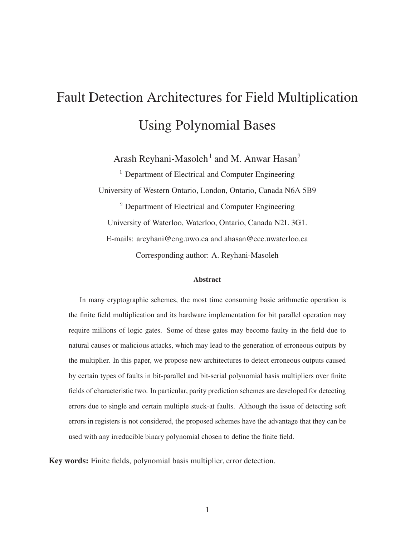# Fault Detection Architectures for Field Multiplication Using Polynomial Bases

Arash Reyhani-Masoleh $^{\rm 1}$  and M. Anwar Hasan $^{\rm 2}$ 

<sup>1</sup> Department of Electrical and Computer Engineering University of Western Ontario, London, Ontario, Canada N6A 5B9 <sup>2</sup> Department of Electrical and Computer Engineering University of Waterloo, Waterloo, Ontario, Canada N2L 3G1. E-mails: areyhani@eng.uwo.ca and ahasan@ece.uwaterloo.ca Corresponding author: A. Reyhani-Masoleh

#### **Abstract**

In many cryptographic schemes, the most time consuming basic arithmetic operation is the finite field multiplication and its hardware implementation for bit parallel operation may require millions of logic gates. Some of these gates may become faulty in the field due to natural causes or malicious attacks, which may lead to the generation of erroneous outputs by the multiplier. In this paper, we propose new architectures to detect erroneous outputs caused by certain types of faults in bit-parallel and bit-serial polynomial basis multipliers over finite fields of characteristic two. In particular, parity prediction schemes are developed for detecting errors due to single and certain multiple stuck-at faults. Although the issue of detecting soft errors in registers is not considered, the proposed schemes have the advantage that they can be used with any irreducible binary polynomial chosen to define the finite field.

**Key words:** Finite fields, polynomial basis multiplier, error detection.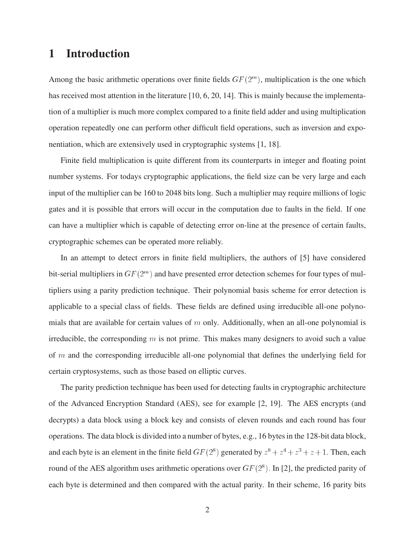# **1 Introduction**

Among the basic arithmetic operations over finite fields  $GF(2<sup>m</sup>)$ , multiplication is the one which has received most attention in the literature [10, 6, 20, 14]. This is mainly because the implementation of a multiplier is much more complex compared to a finite field adder and using multiplication operation repeatedly one can perform other difficult field operations, such as inversion and exponentiation, which are extensively used in cryptographic systems [1, 18].

Finite field multiplication is quite different from its counterparts in integer and floating point number systems. For todays cryptographic applications, the field size can be very large and each input of the multiplier can be 160 to 2048 bits long. Such a multiplier may require millions of logic gates and it is possible that errors will occur in the computation due to faults in the field. If one can have a multiplier which is capable of detecting error on-line at the presence of certain faults, cryptographic schemes can be operated more reliably.

In an attempt to detect errors in finite field multipliers, the authors of [5] have considered bit-serial multipliers in  $GF(2<sup>m</sup>)$  and have presented error detection schemes for four types of multipliers using a parity prediction technique. Their polynomial basis scheme for error detection is applicable to a special class of fields. These fields are defined using irreducible all-one polynomials that are available for certain values of  $m$  only. Additionally, when an all-one polynomial is irreducible, the corresponding  $m$  is not prime. This makes many designers to avoid such a value of  $m$  and the corresponding irreducible all-one polynomial that defines the underlying field for certain cryptosystems, such as those based on elliptic curves.

The parity prediction technique has been used for detecting faults in cryptographic architecture of the Advanced Encryption Standard (AES), see for example [2, 19]. The AES encrypts (and decrypts) a data block using a block key and consists of eleven rounds and each round has four operations. The data block is divided into a number of bytes, e.g., 16 bytes in the 128-bit data block, and each byte is an element in the finite field  $GF(2^8)$  generated by  $z^8 + z^4 + z^3 + z + 1$ . Then, each round of the AES algorithm uses arithmetic operations over  $GF(2^8)$ . In [2], the predicted parity of each byte is determined and then compared with the actual parity. In their scheme, 16 parity bits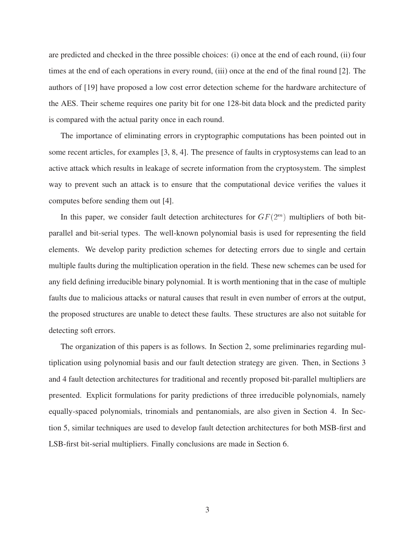are predicted and checked in the three possible choices: (i) once at the end of each round, (ii) four times at the end of each operations in every round, (iii) once at the end of the final round [2]. The authors of [19] have proposed a low cost error detection scheme for the hardware architecture of the AES. Their scheme requires one parity bit for one 128-bit data block and the predicted parity is compared with the actual parity once in each round.

The importance of eliminating errors in cryptographic computations has been pointed out in some recent articles, for examples [3, 8, 4]. The presence of faults in cryptosystems can lead to an active attack which results in leakage of secrete information from the cryptosystem. The simplest way to prevent such an attack is to ensure that the computational device verifies the values it computes before sending them out [4].

In this paper, we consider fault detection architectures for  $GF(2<sup>m</sup>)$  multipliers of both bitparallel and bit-serial types. The well-known polynomial basis is used for representing the field elements. We develop parity prediction schemes for detecting errors due to single and certain multiple faults during the multiplication operation in the field. These new schemes can be used for any field defining irreducible binary polynomial. It is worth mentioning that in the case of multiple faults due to malicious attacks or natural causes that result in even number of errors at the output, the proposed structures are unable to detect these faults. These structures are also not suitable for detecting soft errors.

The organization of this papers is as follows. In Section 2, some preliminaries regarding multiplication using polynomial basis and our fault detection strategy are given. Then, in Sections 3 and 4 fault detection architectures for traditional and recently proposed bit-parallel multipliers are presented. Explicit formulations for parity predictions of three irreducible polynomials, namely equally-spaced polynomials, trinomials and pentanomials, are also given in Section 4. In Section 5, similar techniques are used to develop fault detection architectures for both MSB-first and LSB-first bit-serial multipliers. Finally conclusions are made in Section 6.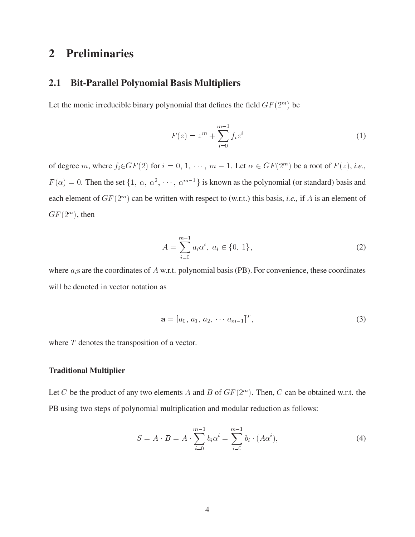# **2 Preliminaries**

## **2.1 Bit-Parallel Polynomial Basis Multipliers**

Let the monic irreducible binary polynomial that defines the field  $GF(2<sup>m</sup>)$  be

$$
F(z) = zm + \sum_{i=0}^{m-1} f_i z^i
$$
 (1)

of degree m, where  $f_i \in GF(2)$  for  $i = 0, 1, \dots, m - 1$ . Let  $\alpha \in GF(2^m)$  be ) be a root of  $F(z)$ , *i.e.*,  $F(\alpha)=0$ . Then the set  $\{1, \alpha, \alpha^2, \cdot\}$  $\cdots$ ,  $\alpha^{m-1}$ } is known as the polynomial (or standard) basis and each element of  $GF(2^m)$  can be written with respect to (w.r.t.) this basis, *i.e.*, if A is an element of  $GF(2^m)$ , then

$$
A = \sum_{i=0}^{m-1} a_i \alpha^i, \ a_i \in \{0, 1\},\tag{2}
$$
  
where  $a_i$ s are the coordinates of *A* w.r.t. polynomial basis (PB). For convenience, these coordinates

will be denoted in vector notation as

$$
\mathbf{a} = [a_0, a_1, a_2, \cdots a_{m-1}]^T, \tag{3}
$$

where T denotes the transposition of a vector.

## **Traditional Multiplier**

Let C be the product of any two elements A and B of  $GF(2<sup>m</sup>)$ . Then, C can be obtained w.r.t. the PB using two steps of polynomial multiplication and modular reduction as follows:

$$
S = A \cdot B = A \cdot \sum_{i=0}^{m-1} b_i \alpha^i = \sum_{i=0}^{m-1} b_i \cdot (A \alpha^i), \tag{4}
$$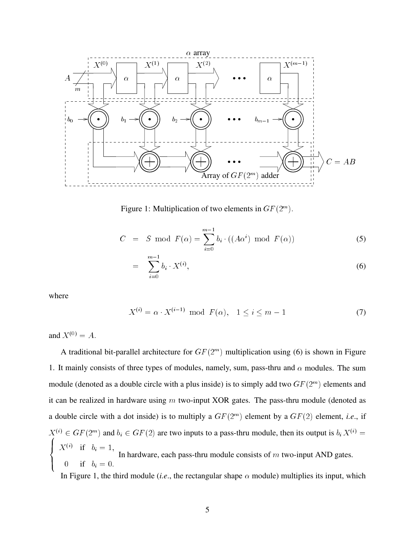

Figure 1: Multiplication of two elements in  $GF(2^m)$ .

$$
C = S \text{ mod } F(\alpha) = \sum_{i=0}^{m-1} b_i \cdot ((A\alpha^i) \text{ mod } F(\alpha))
$$
 (5)

$$
= \sum_{i=0}^{m-1} b_i \cdot X^{(i)}, \tag{6}
$$

where

$$
X^{(i)} = \alpha \cdot X^{(i-1)} \text{ mod } F(\alpha), \quad 1 \le i \le m - 1
$$
 (7)

and  $X^{(0)} = A$ .

A traditional bit-parallel architecture for  $GF(2<sup>m</sup>)$  multiplication using (6) is shown in Figure 1. It mainly consists of three types of modules, namely, sum, pass-thru and  $\alpha$  modules. The sum module (denoted as a double circle with a plus inside) is to simply add two  $GF(2<sup>m</sup>)$  elements and it can be realized in hardware using  $m$  two-input XOR gates. The pass-thru module (denoted as a double circle with a dot inside) is to multiply a  $GF(2<sup>m</sup>)$  element by a  $GF(2)$  element, *i.e.*, if  $X^{(i)} \in GF(2^m)$  and  $b_i \in GF(2)$  are two inputs to a pass-thru module, then its output is  $b_i X^{(i)} =$  $\mathbf{I} = \mathbf{V}^{[i]}$ >:  $X^{(i)}$  if  $b_i = 1,$ 0 if  $b_i = 0$ . In hardware, each pass-thru module consists of  $m$  two-input AND gates. In Figure 1, the third module *(i.e.*, the rectangular shape  $\alpha$  module) multiplies its input, which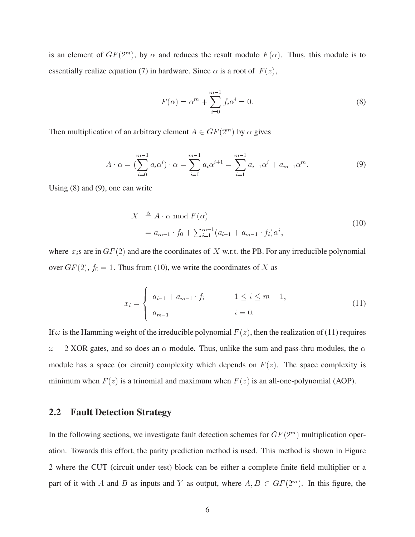is an element of  $GF(2^m)$ , by  $\alpha$  and reduces the result modulo  $F(\alpha)$ . Thus, this module is to essentially realize equation (7) in hardware. Since  $\alpha$  is a root of  $F(z)$ ,

$$
F(\alpha) = \alpha^m + \sum_{i=0}^{m-1} f_i \alpha^i = 0.
$$
 (8)

Then multiplication of an arbitrary element  $A \in GF(2^m)$  by  $\alpha$  gives

$$
A \cdot \alpha = \left(\sum_{i=0}^{m-1} a_i \alpha^i\right) \cdot \alpha = \sum_{i=0}^{m-1} a_i \alpha^{i+1} = \sum_{i=1}^{m-1} a_{i-1} \alpha^i + a_{m-1} \alpha^m.
$$
 (9)

Using (8) and (9), one can write

$$
X \stackrel{\triangle}{=} A \cdot \alpha \mod F(\alpha)
$$
  
=  $a_{m-1} \cdot f_0 + \sum_{i=1}^{m-1} (a_{i-1} + a_{m-1} \cdot f_i) \alpha^i,$  (10)

where  $x_i$ s are in  $GF(2)$  and are the coordinates of X w.r.t. the PB. For any irreducible polynomial over  $GF(2)$ ,  $f_0 = 1$ . Thus from (10), we write the coordinates of X as

$$
x_{i} = \begin{cases} a_{i-1} + a_{m-1} \cdot f_{i} & 1 \leq i \leq m-1, \\ a_{m-1} & i = 0. \end{cases}
$$
 (11)

If  $\omega$  is the Hamming weight of the irreducible polynomial  $F(z)$ , then the realization of (11) requires  $-2$  XOR gates, and so does an  $\alpha$  module. Thus, unlike the sum and pass-thru modules, the  $\alpha$ module has a space (or circuit) complexity which depends on  $F(z)$ . The space complexity is minimum when  $F(z)$  is a trinomial and maximum when  $F(z)$  is an all-one-polynomial (AOP).

## **2.2 Fault Detection Strategy**

In the following sections, we investigate fault detection schemes for  $GF(2<sup>m</sup>)$  multiplication operation. Towards this effort, the parity prediction method is used. This method is shown in Figure 2 where the CUT (circuit under test) block can be either a complete finite field multiplier or a part of it with A and B as inputs and Y as output, where  $A, B \in GF(2^m)$ . In this figure, the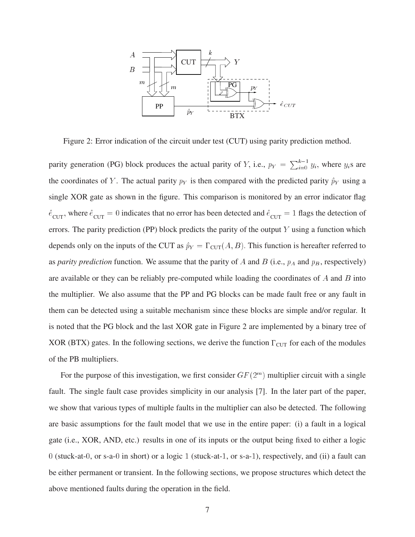

Figure 2: Error indication of the circuit under test (CUT) using parity prediction method.

parity generation (PG) block produces the actual parity of Y, i.e.,  $p_Y = \sum_{i=0}^{K-1} y_i$ , where  $y_i$ s are the coordinates of Y. The actual parity  $p_Y$  is then compared with the predicted parity  $\hat{p}_Y$  using a single XOR gate as shown in the figure. This comparison is monitored by an error indicator flag  $\hat{e}_{\text{CUT}}$ , where  $\hat{e}_{\text{CUT}} = 0$  indicates that no error has been detected and  $\hat{e}_{\text{CUT}} = 1$  flags the detection of errors. The parity prediction (PP) block predicts the parity of the output Y using a function which depends only on the inputs of the CUT as  $\hat{p}_Y = \Gamma_{\text{CUT}}(A, B)$ . This function is hereafter referred to as *parity prediction* function. We assume that the parity of A and B (i.e.,  $p_A$  and  $p_B$ , respectively) are available or they can be reliably pre-computed while loading the coordinates of  $A$  and  $B$  into the multiplier. We also assume that the PP and PG blocks can be made fault free or any fault in them can be detected using a suitable mechanism since these blocks are simple and/or regular. It is noted that the PG block and the last XOR gate in Figure 2 are implemented by a binary tree of XOR (BTX) gates. In the following sections, we derive the function  $\Gamma_{\text{CUT}}$  for each of the modules of the PB multipliers.

For the purpose of this investigation, we first consider  $GF(2<sup>m</sup>)$  multiplier circuit with a single fault. The single fault case provides simplicity in our analysis [7]. In the later part of the paper, we show that various types of multiple faults in the multiplier can also be detected. The following are basic assumptions for the fault model that we use in the entire paper: (i) a fault in a logical gate (i.e., XOR, AND, etc.) results in one of its inputs or the output being fixed to either a logic 0 (stuck-at-0, or s-a-<sup>0</sup> in short) or a logic <sup>1</sup> (stuck-at-1, or s-a-1), respectively, and (ii) a fault can be either permanent or transient. In the following sections, we propose structures which detect the above mentioned faults during the operation in the field.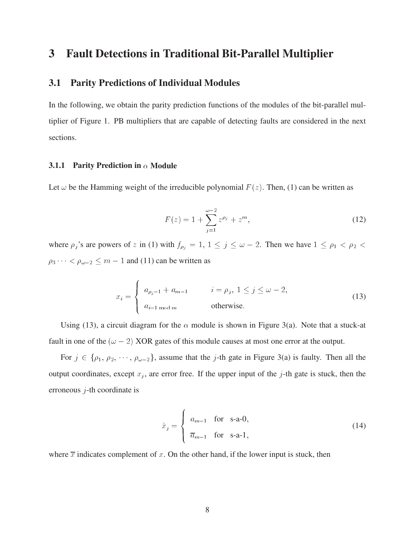# **3 Fault Detections in Traditional Bit-Parallel Multiplier**

## **3.1 Parity Predictions of Individual Modules**

In the following, we obtain the parity prediction functions of the modules of the bit-parallel multiplier of Figure 1. PB multipliers that are capable of detecting faults are considered in the next sections.

## **3.1.1 Parity Prediction in**  $\alpha$  Module

Let  $\omega$  be the Hamming weight of the irreducible polynomial  $F(z)$ . Then, (1) can be written as

$$
F(z) = 1 + \sum_{j=1}^{\omega - 2} z^{\rho_j} + z^m,
$$
\n(12)

where  $\rho_j$ 's are powers of z in (1) with  $f_{\rho_j} = 1, 1 \le j \le \omega - 2$ . Then we have  $1 \le \rho_1 < \rho_2 < \omega$  $\rho_3 \cdots < \rho_{\omega-2} \le m - 1$  and (11) can be written as

$$
x_i = \begin{cases} a_{\rho_j - 1} + a_{m-1} & i = \rho_j, \ 1 \le j \le \omega - 2, \\ a_{i-1 \mod m} & \text{otherwise.} \end{cases} \tag{13}
$$

Using (13), a circuit diagram for the  $\alpha$  module is shown in Figure 3(a). Note that a stuck-at fault in one of the  $(\omega - 2)$  XOR gates of this module causes at most one error at the output.

For  $j \in \{\rho_1, \rho_2, \cdots, \rho_{\omega-2}\}\$ , assume that the j-th gate in Figure 3(a) is faulty. Then all the output coordinates, except  $x_j$ , are error free. If the upper input of the j-th gate is stuck, then the erroneous  $j$ -th coordinate is

$$
\dot{x}_j = \begin{cases} a_{m-1} & \text{for } s-a-0, \\ \overline{a}_{m-1} & \text{for } s-a-1, \end{cases}
$$
 (14)

where  $\overline{x}$  indicates complement of x. On the other hand, if the lower input is stuck, then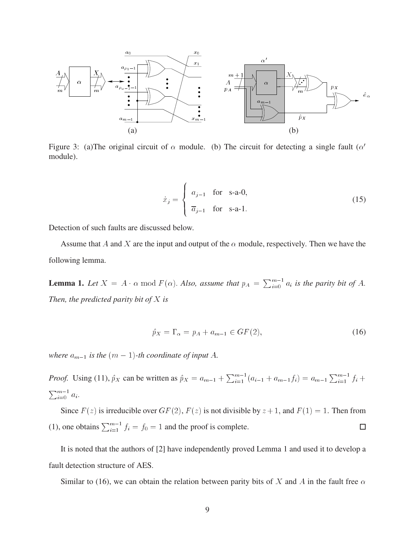

Figure 3: (a)The original circuit of  $\alpha$  module. (b) The circuit for detecting a single fault ( $\alpha'$ module).

$$
\dot{x}_j = \begin{cases}\n a_{j-1} & \text{for } s\text{-a-0}, \\
\overline{a}_{j-1} & \text{for } s\text{-a-1}.\n\end{cases}
$$
\n(15)

Detection of such faults are discussed below.

Assume that A and X are the input and output of the  $\alpha$  module, respectively. Then we have the following lemma.

**Lemma 1.** Let  $X = A \cdot \alpha \mod F(\alpha)$ . Also, assume that  $p_A = \sum_{i=0}^{m-1} a_i$  is the parity bit of A. *Then, the predicted parity bit of* <sup>X</sup> *is*

$$
\hat{p}_X = \Gamma_\alpha = p_A + a_{m-1} \in GF(2),\tag{16}
$$

*where*  $a_{m-1}$  *is the*  $(m - 1)$ -th coordinate of input A.

*Proof.* Using (11),  $\hat{p}_X$  can be written as  $\hat{p}_X = a_{m-1} + \sum_{i=1}^{m-1} (a_{i-1} + a_{m-1}f_i) = a_{m-1} \sum_{i=1}^{m-1} f_i +$  $\Box$ m-1  $i=0$  and  $i=1$ 

Since  $F(z)$  is irreducible over  $GF(2)$ ,  $F(z)$  is not divisible by  $z + 1$ , and  $F(1) = 1$ . Then from (1), one obtains  $\sum_{i=1}^{m-1} f_i = f_0 = 1$  and the proof is complete.  $\Box$ 

It is noted that the authors of [2] have independently proved Lemma 1 and used it to develop a fault detection structure of AES.

Similar to (16), we can obtain the relation between parity bits of X and A in the fault free  $\alpha$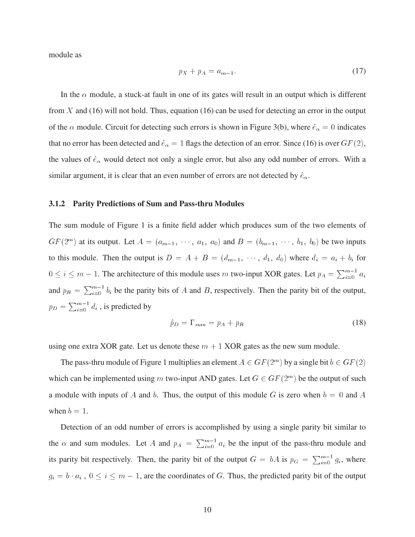module as

$$
p_X + p_A = a_{m-1}.\tag{17}
$$

In the  $\alpha$  module, a stuck-at fault in one of its gates will result in an output which is different from X and (16) will not hold. Thus, equation (16) can be used for detecting an error in the output of the  $\alpha$  module. Circuit for detecting such errors is shown in Figure 3(b), where  $\hat{e}_{\alpha} = 0$  indicates that no error has been detected and  $\hat{e}_{\alpha} = 1$  flags the detection of an error. Since (16) is over  $GF (2)$ , the values of  $\hat{e}_{\alpha}$  would detect not only a single error, but also any odd number of errors. With a similar argument, it is clear that an even number of errors are not detected by  $\hat{e}_{\alpha}$ .

#### **3.1.2 Parity Predictions of Sum and Pass-thru Modules**

The sum module of Figure 1 is a finite field adder which produces sum of the two elements of  $GF(2<sup>m</sup>)$  at its output. Let  $A = (a_{m-1}, \dots, a_1, a_0)$  and  $B = (b_{m-1}, \dots, b_1, b_0)$  be two inputs to this module. Then the output is  $D = A + B = (d_{m-1}, \dots, d_1, d_0)$  where  $d_i = a_i + b_i$  for  $\sim$   $\sim$  $i \leq m - 1$ . The architecture of this module uses m two-input XOR gates. Let  $p_A = \sum_{i=0}^{m-1} a_i$ and  $p_B = \sum_{i=0}^{m-1} b_i$  be the parity bits of A and B, respectively. Then the parity bit of the output,  $p_D = \sum_{i=0}^{m-1} d_i$ , is predicted by

$$
\hat{p}_D = \Gamma_{sum} = p_A + p_B \tag{18}
$$

using one extra XOR gate. Let us denote these  $m + 1$  XOR gates as the new sum module.

The pass-thru module of Figure 1 multiplies an element  $A \in GF(2^m)$  by a single bit  $b \in GF(2)$ which can be implemented using m two-input AND gates. Let  $G \in GF(2^m)$  be the output of such a module with inputs of A and b. Thus, the output of this module G is zero when  $b = 0$  and A when  $b = 1$ .

Detection of an odd number of errors is accomplished by using a single parity bit similar to the  $\alpha$  and sum modules. Let A and  $p_A = \sum_{i=0}^{m-1} a_i$  be the input of the pass-thru module and its parity bit respectively. Then, the parity bit of the output  $G = bA$  is  $p_G = \sum_{i=0}^{m-1} g_i$ , where  $g_i = b \cdot a_i$ ,  $0 \le i \le m - 1$ , are the coordinates of G. Thus, the predicted parity bit of the output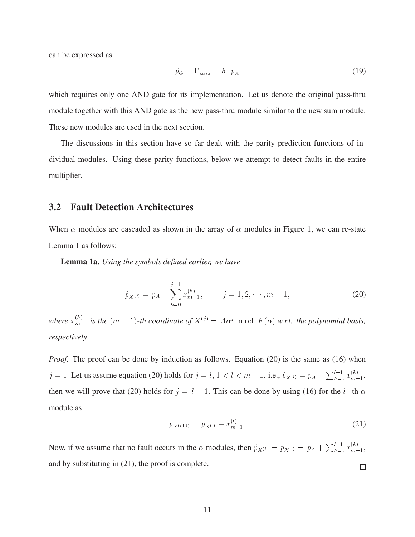can be expressed as

$$
\hat{p}_G = \Gamma_{pass} = b \cdot p_A \tag{19}
$$

which requires only one AND gate for its implementation. Let us denote the original pass-thru module together with this AND gate as the new pass-thru module similar to the new sum module. These new modules are used in the next section.

The discussions in this section have so far dealt with the parity prediction functions of individual modules. Using these parity functions, below we attempt to detect faults in the entire multiplier.

## **3.2 Fault Detection Architectures**

When  $\alpha$  modules are cascaded as shown in the array of  $\alpha$  modules in Figure 1, we can re-state Lemma 1 as follows:

**Lemma 1a.** *Using the symbols defined earlier, we have*

$$
\hat{p}_{X^{(j)}} = p_A + \sum_{k=0}^{j-1} x_{m-1}^{(k)}, \qquad j = 1, 2, \cdots, m-1,
$$
\n(20)

where  $x_{m-1}^{(k)}$  *is the*  $(m-1)$ -th coordinate of  $X^{(j)} = A\alpha^j \mod F(\alpha)$  w.r.t. the polynomial basis, *respectively.*

*Proof.* The proof can be done by induction as follows. Equation (20) is the same as (16) when  $j = 1$ . Let us assume equation (20) holds for  $j = l, 1 < l < m - 1$ , i.e.,  $\hat{p}_{X^{(l)}} = p_A + \sum_{k=0}^{l-1} x_{m-1}^{(k)}$ , then we will prove that (20) holds for  $j = l + 1$ . This can be done by using (16) for the l-th  $\alpha$ module as

$$
\hat{p}_{X^{(l+1)}} = p_{X^{(l)}} + x_{m-1}^{(l)}.\tag{21}
$$

Now, if we assume that no fault occurs in the  $\alpha$  modules, then  $\hat{p}_{X^{(l)}} = p_{X^{(l)}} = p_A + \sum_{k=0}^{l-1} x_{m-1}^{(k)}$ , and by substituting in (21), the proof is complete.  $\Box$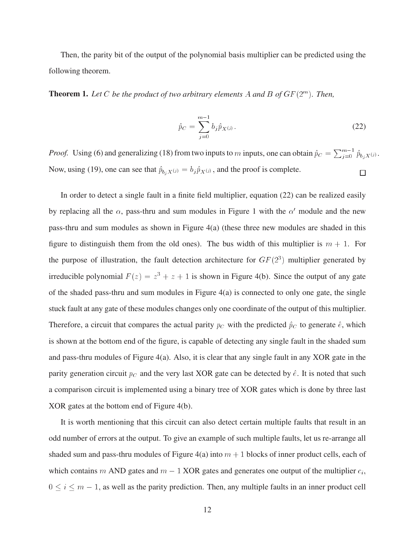Then, the parity bit of the output of the polynomial basis multiplier can be predicted using the following theorem.

**Theorem 1.** Let C be the product of two arbitrary elements A and B of  $GF(2^m)$ . Then,

$$
\hat{p}_C = \sum_{j=0}^{m-1} b_j \hat{p}_{X^{(j)}}.
$$
\n(22)

*Proof.* Using (6) and generalizing (18) from two inputs to m inputs, one can obtain  $\hat{p}_C = \sum_{j=0}^{m-1} \hat{p}_{b_jX^{(j)}}$ . Now, using (19), one can see that  $\hat{p}_{b_jX^{(j)}} = b_j\hat{p}_{X^{(j)}}$ , and the proof is complete. □

In order to detect a single fault in a finite field multiplier, equation (22) can be realized easily by replacing all the  $\alpha$ , pass-thru and sum modules in Figure 1 with the  $\alpha'$  module and the new pass-thru and sum modules as shown in Figure 4(a) (these three new modules are shaded in this figure to distinguish them from the old ones). The bus width of this multiplier is  $m + 1$ . For the purpose of illustration, the fault detection architecture for  $GF(2<sup>3</sup>)$  multiplier generated by irreducible polynomial  $F(z) = z^3 + z + 1$  is shown in Figure 4(b). Since the output of any gate of the shaded pass-thru and sum modules in Figure 4(a) is connected to only one gate, the single stuck fault at any gate of these modules changes only one coordinate of the output of this multiplier. Therefore, a circuit that compares the actual parity  $p_C$  with the predicted  $\hat{p}_C$  to generate  $\hat{e}$ , which is shown at the bottom end of the figure, is capable of detecting any single fault in the shaded sum and pass-thru modules of Figure 4(a). Also, it is clear that any single fault in any XOR gate in the parity generation circuit  $p_C$  and the very last XOR gate can be detected by  $\hat{e}$ . It is noted that such a comparison circuit is implemented using a binary tree of XOR gates which is done by three last XOR gates at the bottom end of Figure 4(b).

It is worth mentioning that this circuit can also detect certain multiple faults that result in an odd number of errors at the output. To give an example of such multiple faults, let us re-arrange all shaded sum and pass-thru modules of Figure 4(a) into  $m + 1$  blocks of inner product cells, each of which contains m AND gates and  $m - 1$  XOR gates and generates one output of the multiplier  $c_i$ ,  $\sim$   $\sim$   $\sim$  $i \leq i \leq m - 1$ , as well as the parity prediction. Then, any multiple faults in an inner product cell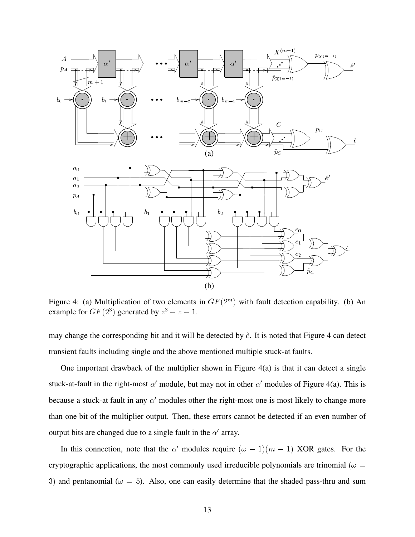

Figure 4: (a) Multiplication of two elements in  $GF(2<sup>m</sup>)$  with fault detection capability. (b) An example for  $GF(2^3)$  generated by  $z^3 + z + 1$ .

may change the corresponding bit and it will be detected by  $\hat{e}$ . It is noted that Figure 4 can detect transient faults including single and the above mentioned multiple stuck-at faults.

One important drawback of the multiplier shown in Figure 4(a) is that it can detect a single stuck-at-fault in the right-most  $\alpha'$  module, but may not in other  $\alpha'$  modules of Figure 4(a). This is because a stuck-at fault in any  $\alpha'$  modules other the right-most one is most likely to change more than one bit of the multiplier output. Then, these errors cannot be detected if an even number of output bits are changed due to a single fault in the  $\alpha'$  array.

In this connection, note that the  $\alpha'$  modules require  $(\omega - 1)(m - 1)$  XOR gates. For the cryptographic applications, the most commonly used irreducible polynomials are trinomial ( $\omega$  = 3) and pentanomial ( $\omega = 5$ ). Also, one can easily determine that the shaded pass-thru and sum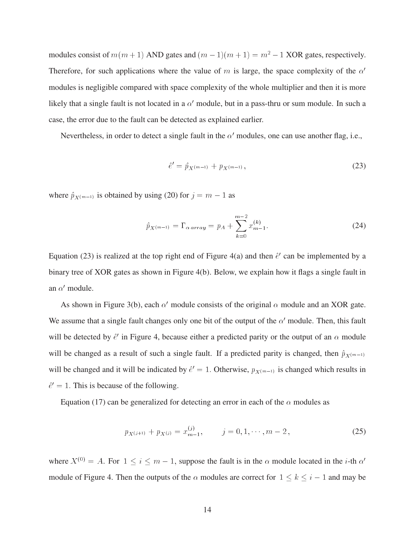modules consist of  $m(m + 1)$  AND gates and  $(m - 1)(m + 1) = m^2 - 1$  XOR gates, respectively. Therefore, for such applications where the value of m is large, the space complexity of the  $\alpha'$ modules is negligible compared with space complexity of the whole multiplier and then it is more likely that a single fault is not located in a  $\alpha'$  module, but in a pass-thru or sum module. In such a case, the error due to the fault can be detected as explained earlier.

Nevertheless, in order to detect a single fault in the  $\alpha'$  modules, one can use another flag, i.e.,

$$
\hat{e}' = \hat{p}_{X^{(m-1)}} + p_{X^{(m-1)}},\tag{23}
$$

where  $\hat{p}_{X(m-1)}$  is obtained by using (20) for  $j = m - 1$  as

$$
\hat{p}_{X^{(m-1)}} = \Gamma_{\alpha \, array} = p_A + \sum_{k=0}^{m-2} x_{m-1}^{(k)}.
$$
\n(24)

Equation (23) is realized at the top right end of Figure 4(a) and then  $\hat{e}^{\prime}$  can be implemented by a binary tree of XOR gates as shown in Figure 4(b). Below, we explain how it flags a single fault in an  $\alpha'$  module.

As shown in Figure 3(b), each  $\alpha'$  module consists of the original  $\alpha$  module and an XOR gate. We assume that a single fault changes only one bit of the output of the  $\alpha'$  module. Then, this fault will be detected by  $\hat{e}^{\prime}$  in Figure 4, because either a predicted parity or the output of an  $\alpha$  module will be changed as a result of such a single fault. If a predicted parity is changed, then  $\hat{p}_{X^{(m-1)}}$ will be changed and it will be indicated by  $\hat{e}^{\prime} = 1$ . Otherwise,  $p_{X(m-1)}$  is changed which results in  $\hat{e}^{\prime} = 1$ . This is because of the following.

Equation (17) can be generalized for detecting an error in each of the  $\alpha$  modules as

$$
p_{X^{(j+1)}} + p_{X^{(j)}} = x_{m-1}^{(j)}, \qquad j = 0, 1, \cdots, m-2, \qquad (25)
$$

where  $X^{(0)} = A$ . For  $1 \le i \le m - 1$ , suppose the fault is in the  $\alpha$  module located in the *i*-th  $\alpha'$ module of Figure 4. Then the outputs of the  $\alpha$  modules are correct for  $1 \le k \le i - 1$  and may be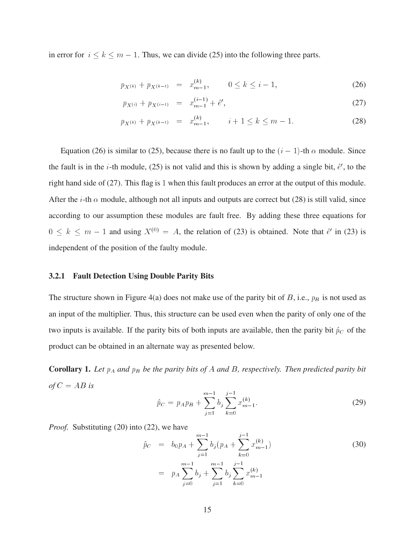in error for  $i \le k \le m - 1$ . Thus, we can divide (25) into the following three parts.

$$
p_{X^{(k)}} + p_{X^{(k-1)}} = x_{m-1}^{(k)}, \qquad 0 \le k \le i-1,
$$
\n(26)

$$
p_{X^{(i)}} + p_{X^{(i-1)}} = x_{m-1}^{(i-1)} + \hat{e}', \tag{27}
$$

$$
p_{X^{(k)}} + p_{X^{(k-1)}} = x_{m-1}^{(k)}, \qquad i+1 \le k \le m-1. \tag{28}
$$

Equation (26) is similar to (25), because there is no fault up to the  $(i - 1)$ -th  $\alpha$  module. Since the fault is in the *i*-th module, (25) is not valid and this is shown by adding a single bit,  $\hat{e}$ , to the right hand side of (27). This flag is <sup>1</sup> when this fault produces an error at the output of this module. After the *i*-th  $\alpha$  module, although not all inputs and outputs are correct but (28) is still valid, since according to our assumption these modules are fault free. By adding these three equations for  $\sim$   $\sim$  $k \leq m - 1$  and using  $X^{(0)} = A$ , the relation of (23) is obtained. Note that  $\hat{e}^{\prime}$  in (23) is independent of the position of the faulty module.

### **3.2.1 Fault Detection Using Double Parity Bits**

The structure shown in Figure 4(a) does not make use of the parity bit of  $B$ , i.e.,  $p_B$  is not used as an input of the multiplier. Thus, this structure can be used even when the parity of only one of the two inputs is available. If the parity bits of both inputs are available, then the parity bit  $\hat{p}_C$  of the product can be obtained in an alternate way as presented below.

**Corollary 1.** Let  $p_A$  and  $p_B$  be the parity bits of A and B, respectively. Then predicted parity bit  $of C = AB$  *is* 

$$
\hat{p}_C = p_A p_B + \sum_{j=1}^{m-1} b_j \sum_{k=0}^{j-1} x_{m-1}^{(k)}.
$$
\n(29)

*Proof.* Substituting (20) into (22), we have

$$
\hat{p}_C = b_0 p_A + \sum_{j=1}^{m-1} b_j (p_A + \sum_{k=0}^{j-1} x_{m-1}^{(k)})
$$
\n
$$
= p_A \sum_{j=0}^{m-1} b_j + \sum_{j=1}^{m-1} b_j \sum_{k=0}^{j-1} x_{m-1}^{(k)}
$$
\n(30)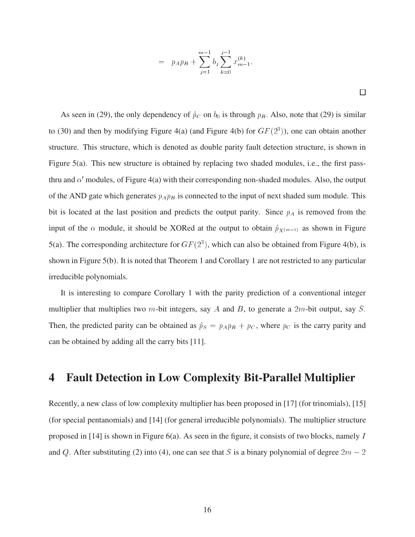$$
= p_{APB} + \sum_{j=1}^{m-1} b_j \sum_{k=0}^{j-1} x_{m-1}^{(k)}.
$$

 $\Box$ 

As seen in (29), the only dependency of  $\hat{p}_C$  on  $b_0$  is through  $p_B$ . Also, note that (29) is similar to (30) and then by modifying Figure 4(a) (and Figure 4(b) for  $GF(2<sup>3</sup>)$ ), one can obtain another structure. This structure, which is denoted as double parity fault detection structure, is shown in Figure 5(a). This new structure is obtained by replacing two shaded modules, i.e., the first passthru and  $\alpha'$  modules, of Figure 4(a) with their corresponding non-shaded modules. Also, the output of the AND gate which generates  $p_A p_B$  is connected to the input of next shaded sum module. This bit is located at the last position and predicts the output parity. Since  $p_A$  is removed from the input of the  $\alpha$  module, it should be XORed at the output to obtain  $\hat{p}_{X(m-1)}$  as shown in Figure 5(a). The corresponding architecture for  $GF(2<sup>3</sup>)$ , which can also be obtained from Figure 4(b), is shown in Figure 5(b). It is noted that Theorem 1 and Corollary 1 are not restricted to any particular irreducible polynomials.

It is interesting to compare Corollary 1 with the parity prediction of a conventional integer multiplier that multiplies two m-bit integers, say A and B, to generate a  $2m$ -bit output, say S. Then, the predicted parity can be obtained as  $\hat{p}_S = p_A p_B + p_C$ , where  $p_C$  is the carry parity and can be obtained by adding all the carry bits [11].

# **4 Fault Detection in Low Complexity Bit-Parallel Multiplier**

Recently, a new class of low complexity multiplier has been proposed in [17] (for trinomials), [15] (for special pentanomials) and [14] (for general irreducible polynomials). The multiplier structure proposed in [14] is shown in Figure 6(a). As seen in the figure, it consists of two blocks, namely <sup>I</sup> and Q. After substituting (2) into (4), one can see that S is a binary polynomial of degree  $2m - 2$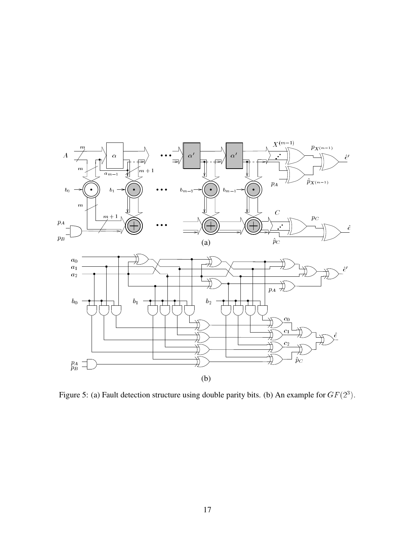

Figure 5: (a) Fault detection structure using double parity bits. (b) An example for  $GF(2^3)$ .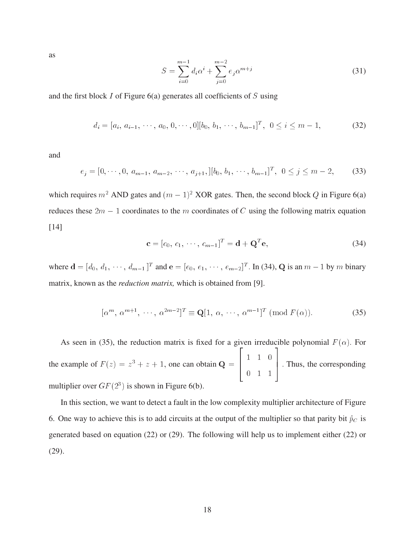as

$$
S = \sum_{i=0}^{m-1} d_i \alpha^i + \sum_{j=0}^{m-2} e_j \alpha^{m+j}
$$
 (31)

and the first block <sup>I</sup> of Figure 6(a) generates all coefficients of <sup>S</sup> using

$$
d_i = [a_i, a_{i-1}, \cdots, a_0, 0, \cdots, 0][b_0, b_1, \cdots, b_{m-1}]^T, \ 0 \le i \le m-1,
$$
 (32)

and

$$
e_j = [0, \cdots, 0, a_{m-1}, a_{m-2}, \cdots, a_{j+1}, [[b_0, b_1, \cdots, b_{m-1}]^T, 0 \le j \le m-2, \qquad (33)
$$

which requires  $m^2$  AND gates and  $(m-1)^2$  XOR gates. Then, the second block Q in Figure 6(a) reduces these  $2m - 1$  coordinates to the m coordinates of C using the following matrix equation [14]

$$
\mathbf{c} = [c_0, c_1, \cdots, c_{m-1}]^T = \mathbf{d} + \mathbf{Q}^T \mathbf{e}, \tag{34}
$$

where  $\mathbf{d} = [d_0, d_1, \dots, d_{m-1}]^T$  and  $\mathbf{e} = [e_0, e_1, \dots, e_{m-2}]^T$ . In (34), Q is an  $m-1$  by m binary matrix, known as the *reduction matrix,* which is obtained from [9].

$$
[\alpha^m, \ \alpha^{m+1}, \ \cdots, \ \alpha^{2m-2}]^T \equiv \mathbf{Q}[1, \ \alpha, \ \cdots, \ \alpha^{m-1}]^T \ (\text{mod } F(\alpha)). \tag{35}
$$

As seen in (35), the reduction matrix is fixed for a given irreducible polynomial  $F(\alpha)$ . For the example of  $F(z) = z^3 + z + 1$ , one can obtain  $Q =$ <u>2020 - 2020 - 2020 - 2020 - 2020 - 2020 - 2020 - 2020 - 2020 - 2020 - 2020 - 2020 - 2020 - 2020 - 2020 - 20</u> <sup>6</sup> <sup>4</sup> - - - $\sim$   $\sim$   $\sim$   $\sim$ <sup>3</sup> 1. Thus, the corresponding multiplier over  $GF(2^3)$  is shown in Figure 6(b).

In this section, we want to detect a fault in the low complexity multiplier architecture of Figure 6. One way to achieve this is to add circuits at the output of the multiplier so that parity bit  $\hat{p}_C$  is generated based on equation (22) or (29). The following will help us to implement either (22) or (29).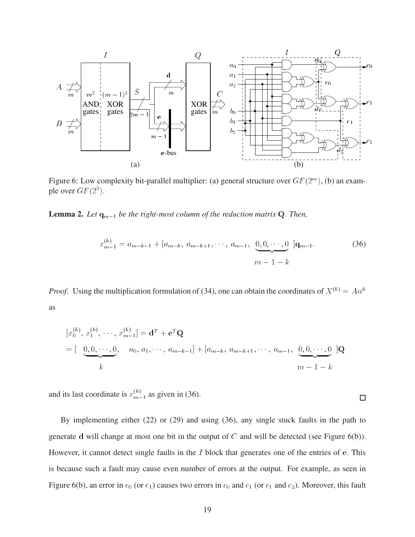

Figure 6: Low complexity bit-parallel multiplier: (a) general structure over  $GF(2^m)$ , (b) an example over  $GF(2^3)$ .

**Lemma 2.** Let  $q_{m-1}$  be the right-most column of the reduction matrix Q. Then,

$$
x_{m-1}^{(k)} = a_{m-k-1} + [a_{m-k}, a_{m-k+1}, \cdots, a_{m-1}, \underbrace{0, 0, \cdots, 0}_{m-1-k}] \mathbf{q}_{m-1}.
$$
 (36)

*Proof.* Using the multiplication formulation of (34), one can obtain the coordinates of  $X^{(k)} = A\alpha^k$ as

$$
[x_0^{(k)}, x_1^{(k)}, \cdots, x_{m-1}^{(k)}] = \mathbf{d}^T + \mathbf{e}^T \mathbf{Q}
$$
  
=  $\left[\begin{array}{ccc} 0, 0, \cdots, 0, & a_0, a_1, \cdots, a_{m-k-1} \end{array}\right] + \left[a_{m-k}, a_{m-k+1}, \cdots, a_{m-1}, \underbrace{0, 0, \cdots, 0}_{m-1} \right] \mathbf{Q}$   
 $m-1-k$ 

and its last coordinate is  $x_{m-1}^{(k)}$  as given in (36).

By implementing either (22) or (29) and using (36), any single stuck faults in the path to generate d will change at most one bit in the output of  $C$  and will be detected (see Figure 6(b)). However, it cannot detect single faults in the  $I$  block that generates one of the entries of e. This is because such a fault may cause even number of errors at the output. For example, as seen in Figure 6(b), an error in  $e_0$  (or  $e_1$ ) causes two errors in  $c_0$  and  $c_1$  (or  $c_1$  and  $c_2$ ). Moreover, this fault

 $\Box$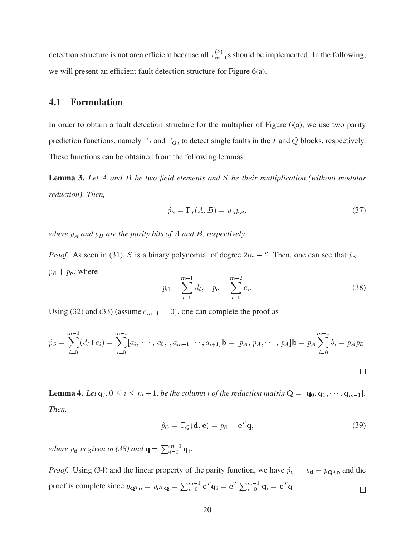detection structure is not area efficient because all  $x_{m-1}^{(k)}$ s should be implemented. In the following, we will present an efficient fault detection structure for Figure 6(a).

## **4.1 Formulation**

In order to obtain a fault detection structure for the multiplier of Figure 6(a), we use two parity prediction functions, namely  $\Gamma_I$  and  $\Gamma_Q$ , to detect single faults in the I and Q blocks, respectively. These functions can be obtained from the following lemmas.

**Lemma 3.** *Let* <sup>A</sup> *and* <sup>B</sup> *be two field elements and* <sup>S</sup> *be their multiplication (without modular reduction). Then,*

$$
\hat{p}_S = \Gamma_I(A, B) = p_A p_B,\tag{37}
$$

*where*  $p_A$  *and*  $p_B$  *are the parity bits of*  $A$  *and*  $B$ *, respectively.* 

*Proof.* As seen in (31), S is a binary polynomial of degree  $2m - 2$ . Then, one can see that  $\hat{p}_S =$  $p_{\mathbf{d}} + p_{\mathbf{e}}$ , where

$$
p_{\mathbf{d}} = \sum_{i=0}^{m-1} d_i, \quad p_{\mathbf{e}} = \sum_{i=0}^{m-2} e_i.
$$
 (38)

Using (32) and (33) (assume  $e_{m-1} = 0$ ), one can complete the proof as

$$
\hat{p}_S = \sum_{i=0}^{m-1} (d_i + e_i) = \sum_{i=0}^{m-1} [a_i, \cdots, a_0, a_{m-1} \cdots, a_{i+1}] \mathbf{b} = [p_A, p_A, \cdots, p_A] \mathbf{b} = p_A \sum_{i=0}^{m-1} b_i = p_A p_B.
$$

**Lemma 4.** Let  $q_i$ ,  $0 \le i \le m-1$ , be the column i of the reduction matrix  $Q = [q_0, q_1, \dots, q_{m-1}]$ . *Then,*

$$
\hat{p}_C = \Gamma_Q(\mathbf{d}, \mathbf{e}) = p_\mathbf{d} + \mathbf{e}^T \mathbf{q},\tag{39}
$$

 $\Box$ 

*where*  $p_d$  *is given in (38) and*  $q = \sum_{i=0}^{m-1} q_i$ .

*Proof.* Using (34) and the linear property of the parity function, we have  $\hat{p}_C = p_d + p_{\mathbf{Q}^T e}$  and the proof is complete since  $p_{\mathbf{Q}^T\mathbf{e}} = p_{\mathbf{e}^T\mathbf{Q}} = \sum_{i=0}^{m-1} \mathbf{e}^T \mathbf{q}_i = \mathbf{e}^T \sum_{i=0}^{m-1} \mathbf{q}_i = \mathbf{e}^T \mathbf{q}$ .  $\Box$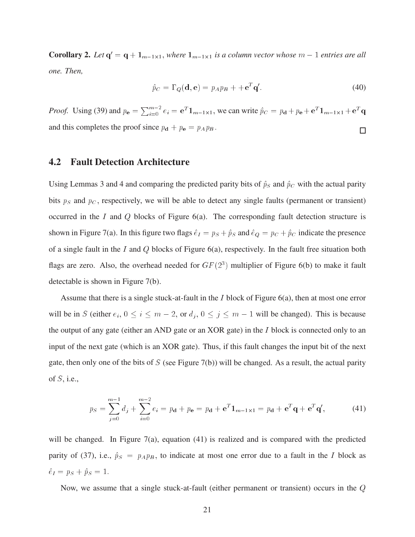**Corollary 2.** Let  $q' = q + 1_{m-1 \times 1}$ , where  $1_{m-1 \times 1}$  is a column vector whose  $m - 1$  entries are all *one. Then,*

$$
\hat{p}_C = \Gamma_Q(\mathbf{d}, \mathbf{e}) = p_A p_B + + \mathbf{e}^T \mathbf{q}'.\tag{40}
$$

*Proof.* Using (39) and  $p_e = \sum_{i=0}^{m-2} e_i = e^T \mathbf{1}_{m-1 \times 1}$ , we can write  $\hat{p}_C = p_d + p_e + e^T \mathbf{1}_{m-1 \times 1} + e^T \mathbf{q}$ and this completes the proof since  $p_d + p_e = p_A p_B$ .  $\Box$ 

## **4.2 Fault Detection Architecture**

Using Lemmas 3 and 4 and comparing the predicted parity bits of  $\hat{p}_S$  and  $\hat{p}_C$  with the actual parity bits  $p_S$  and  $p_C$ , respectively, we will be able to detect any single faults (permanent or transient) occurred in the I and Q blocks of Figure  $6(a)$ . The corresponding fault detection structure is shown in Figure 7(a). In this figure two flags  $\hat{e}_I = p_S + \hat{p}_S$  and  $\hat{e}_Q = p_C + \hat{p}_C$  indicate the presence of a single fault in the I and Q blocks of Figure  $6(a)$ , respectively. In the fault free situation both flags are zero. Also, the overhead needed for  $GF(2<sup>3</sup>)$  multiplier of Figure 6(b) to make it fault detectable is shown in Figure 7(b).

Assume that there is a single stuck-at-fault in the I block of Figure 6(a), then at most one error will be in S (either  $e_i$ ,  $0 \le i \le m - 2$ , or  $d_j$ ,  $0 \le j \le m - 1$  will be changed). This is because the output of any gate (either an AND gate or an XOR gate) in the <sup>I</sup> block is connected only to an input of the next gate (which is an XOR gate). Thus, if this fault changes the input bit of the next gate, then only one of the bits of  $S$  (see Figure 7(b)) will be changed. As a result, the actual parity of  $S$ , i.e.,

$$
p_S = \sum_{j=0}^{m-1} d_j + \sum_{i=0}^{m-2} e_i = p_{\mathbf{d}} + p_{\mathbf{e}} = p_{\mathbf{d}} + {\mathbf{e}}^T \mathbf{1}_{m-1 \times 1} = p_{\mathbf{d}} + {\mathbf{e}}^T {\mathbf{q}} + {\mathbf{e}}^T {\mathbf{q}}',
$$
(41)

will be changed. In Figure 7(a), equation  $(41)$  is realized and is compared with the predicted parity of (37), i.e.,  $\hat{p}_S = p_A p_B$ , to indicate at most one error due to a fault in the I block as  $\hat{e}_I = p_S + \hat{p}_S = 1.$ 

Now, we assume that a single stuck-at-fault (either permanent or transient) occurs in the <sup>Q</sup>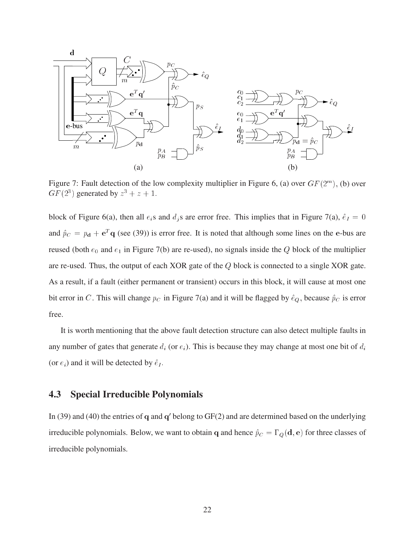

Figure 7: Fault detection of the low complexity multiplier in Figure 6, (a) over  $GF(2<sup>m</sup>)$ , (b) over  $GF(2^3)$  generated by  $z^3 + z + 1$ .

block of Figure 6(a), then all  $e_i$ s and  $d_i$ s are error free. This implies that in Figure 7(a),  $\hat{e}_I = 0$ and  $\hat{p}_C = p_d + e^T q$  (see (39)) is error free. It is noted that although some lines on the e-bus are reused (both  $e_0$  and  $e_1$  in Figure 7(b) are re-used), no signals inside the Q block of the multiplier are re-used. Thus, the output of each XOR gate of the <sup>Q</sup> block is connected to a single XOR gate. As a result, if a fault (either permanent or transient) occurs in this block, it will cause at most one bit error in C. This will change  $p_C$  in Figure 7(a) and it will be flagged by  $\hat{e}_Q$ , because  $\hat{p}_C$  is error free.

It is worth mentioning that the above fault detection structure can also detect multiple faults in any number of gates that generate  $d_i$  (or  $e_i$ ). This is because they may change at most one bit of  $d_i$ (or  $e_i$ ) and it will be detected by  $\hat{e}_I$ .

## **4.3 Special Irreducible Polynomials**

In (39) and (40) the entries of  $q$  and  $q'$  belong to  $GF(2)$  and are determined based on the underlying irreducible polynomials. Below, we want to obtain q and hence  $\hat{p}_C = \Gamma_Q(\mathbf{d}, \mathbf{e})$  for three classes of irreducible polynomials.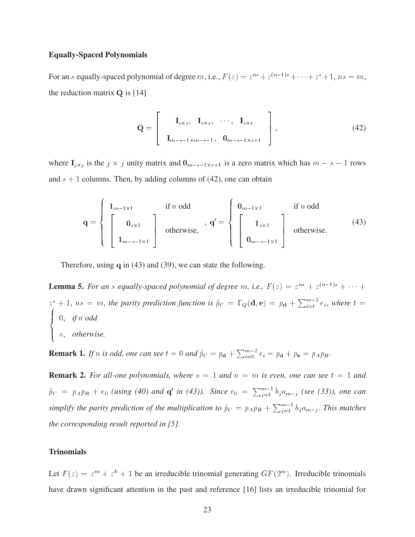#### **Equally-Spaced Polynomials**

For an s equally-spaced polynomial of degree m, i.e.,  $F(z) = z^{ns} + z^{(n-1)s} + \cdots + z^s + 1$ ,  $ns = m$ , the reduction matrix  $Q$  is [14]

$$
\mathbf{Q} = \begin{bmatrix} \mathbf{I}_{s \times s}, & \mathbf{I}_{s \times s}, & \cdots, & \mathbf{I}_{s \times s} \\ \mathbf{I}_{m-s-1 \times m-s-1}, & \mathbf{0}_{m-s-1 \times s+1} \end{bmatrix},
$$
(42)

<sup>8</sup>

<sup>3</sup>

where  $I_{j \times j}$  is the  $j \times j$  unity matrix and  $0_{m-s-1 \times s+1}$  is a zero matrix which has  $m - s - 1$  rows and  $s + 1$  columns. Then, by adding columns of (42), one can obtain

$$
\mathbf{q} = \begin{cases} \mathbf{1}_{m-1\times 1} & \text{if } n \text{ odd} \\ \begin{bmatrix} \mathbf{0}_{s\times 1} \\ \mathbf{1}_{m-s-1\times 1} \end{bmatrix} & \text{otherwise,} \end{cases}, \ \mathbf{q}' = \begin{cases} \mathbf{0}_{m-1\times 1} & \text{if } n \text{ odd} \\ \begin{bmatrix} \mathbf{1}_{s\times 1} \\ \mathbf{0}_{m-s-1\times 1} \end{bmatrix} & \text{otherwise.} \end{cases} \tag{43}
$$

Therefore, using <sup>q</sup> in (43) and (39), we can state the following.

**Lemma 5.** *For an s equally-spaced polynomial of degree* m, *i.e.*,  $F(z) = z^{ns} + z^{(n-1)s} + \cdots$  $z^s + 1$ ,  $ns = m$ , the parity prediction function is  $\hat{p}_C = \Gamma_Q(\mathbf{d}, \mathbf{e}) = p_{\mathbf{d}} + \sum_{i=t}^{m-2} e_i$ , where  $t =$  $\vert 0,$  *if* n *odd* >: s; *otherwise.*

**Remark 1.** If n is odd, one can see  $t = 0$  and  $\hat{p}_C = p_d + \sum_{i=0}^{m-2} e_i = p_d + p_e = p_A p_B$ .

**Remark 2.** For all-one polynomials, where  $s = 1$  and  $n = m$  is even, one can see  $t = 1$  and  $\hat{p}_C = p_A p_B + e_0$  *(using (40) and* **q'** *in (43)). Since*  $e_0 = \sum_{j=1}^{m-1} b_j a_{m-j}$  *(see (33)), one can* simplify the parity prediction of the multiplication to  $\hat{p}_C = p_A p_B + \sum_{i=1}^{m-1} b_j a_{m-j}$ . *This matches the corresponding result reported in [5].*

### **Trinomials**

Let  $F(z) = z^m + z^k + 1$  be an irreducible trinomial generating  $GF(2^m)$ . Irreducible trinomials have drawn significant attention in the past and reference [16] lists an irreducible trinomial for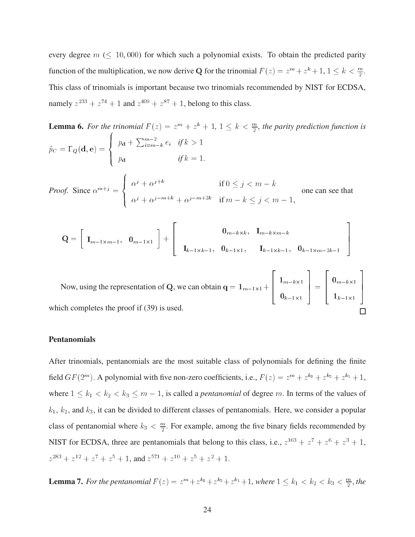every degree  $m \ (\leq 10,000)$  for which such a polynomial exists. To obtain the predicted parity function of the multiplication, we now derive Q for the trinomial  $F(z) = z^m + z^k + 1$ ,  $1 \le k < \frac{m}{2}$ . This class of trinomials is important because two trinomials recommended by NIST for ECDSA, namely  $z^{233} + z^{74} + 1$  and  $z^{409} + z^{87} + 1$ , belong to this class.

**Lemma 6.** For the trinomial  $F(z) = z^m + z^k + 1$ ,  $1 \leq k < \frac{m}{2}$ , the parity prediction function is  $p\mathbf{C} = \mathbf{I} \mathbf{U}(\mathbf{u}, \mathbf{C}) = \mathbf{V}$  $\mathbb{R}$  and  $\mathbb{R}$  $\Box$   $\Box$  $p_{\bf d} + \sum_{i=m-k}^{m-2} e_i$  *if*  $k > 1$  $p_{\bf d}$  *if*  $k = 1$ . *Proof.* Since  $\alpha^{m+j} = \begin{cases} \alpha^j + c^j \end{cases}$  $\Box$   $\Box$  $\Box \cap \neg \cup \bot$  $\alpha^{j} + \alpha^{j+k}$  if  $0 \leq j < m-k$  $\alpha^j + \alpha^{j-m+k} + \alpha^{j-m+2k}$  if  $m - k \le j < m - 1$ , one can see that

$$
Q = \begin{bmatrix} I_{m-1 \times m-1}, & 0_{m-1 \times 1} \end{bmatrix} + \begin{bmatrix} 0_{m-k \times k}, & I_{m-k \times m-k} \\ I_{k-1 \times k-1}, & 0_{k-1 \times 1}, & I_{k-1 \times k-1}, & 0_{k-1 \times m-2k-1} \end{bmatrix}
$$

<sup>3</sup>

<sup>3</sup>

<u>2002 - Andrea Station Station Station Station Station Station Station Station Station Station Station Station</u>

Now, using the representation of Q, we can obtain  $q = 1_{m-1\times 1} + \begin{bmatrix} 1 & m \\ m & m \end{bmatrix}$  $-1$  $n - n - 1$  $h-1$  $\vert \vert = \vert$  $10 - N \wedge 1$  $-k-1$   $\wedge$   $1$ <sup>7</sup> <sup>5</sup> which completes the proof if (39) is used.

<u>2020 - 2020 - 2020 - 2020 - 2020 - 2020 - 2020 - 2020 - 2020 - 2020 - 2020 - 2020 - 2020 - 2020 - 2020 - 20</u>

- -

<u>2020 - 2020 - 2020 - 2020 - 2020 - 2020 - 2020 - 2020 - 2020 - 2020 - 2020 - 2020 - 2020 - 2020 - 2020 - 20</u>

#### **Pentanomials**

After trinomials, pentanomials are the most suitable class of polynomials for defining the finite field  $GF(2^m)$ . A polynomial with five non-zero coefficients, i.e.,  $F(z) = z^m + z^{k_3} + z^{k_2} + z^{k_1} + 1$ , where  $1 \leq k_1 < k_2 < k_3 \leq m - 1$ , is called a *pentanomial* of degree m. In terms of the values of  $k_1, k_2$ , and  $k_3$ , it can be divided to different classes of pentanomials. Here, we consider a popular class of pentanomial where  $k_3 < \frac{m}{2}$ . For example, among the five binary fields recommended by NIST for ECDSA, three are pentanomials that belong to this class, i.e.,  $z^{163} + z^7 + z^6 + z^3 + 1$ ,  $z^{283} + z^{12} + z^7 + z^5 + 1$ , and  $z^{571} + z^{10} + z^5 + z^2 + 1$ .

**Lemma 7.** For the pentanomial  $F(z) = z^m + z^{k_3} + z^{k_2} + z^{k_1} + 1$ , where  $1 \le k_1 < k_2 < k_3 < \frac{m}{2}$ , the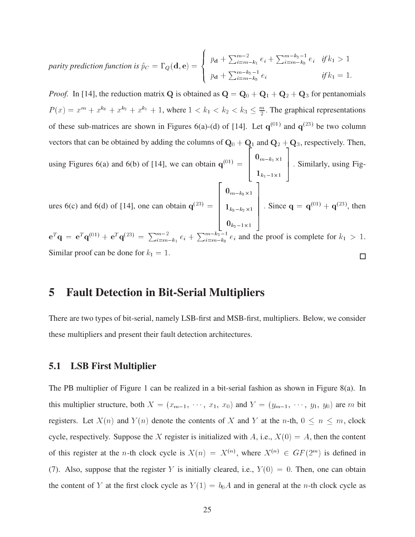*parity prediction function is*  $\hat{p}_C = \Gamma_Q(\mathbf{d}, \mathbf{e})=\left\{ \begin{array}{c} \Gamma_{\mathbf{d}}(\mathbf{d})\end{array} \right\}$  $\mathbf{I}$   $\mathbf{m}$   $\mathbf{I}$   $\mathbf{I}$  $\Box$   $n + \bot$  $p_{\bf d} + \sum_{i=m-k_1}^{m-2} e_i + \sum_{i=m-k_3}^{m-k_2-1} e_i$  *if*  $k_1 > 1$  $p_{\bf d} + \sum_{i=m-k_3}^{m-k_2-1} e_i$  *if*  $k_1 = 1$ .

<sup>8</sup>

*Proof.* In [14], the reduction matrix Q is obtained as  $Q = Q_0 + Q_1 + Q_2 + Q_3$  for pentanomials  $P(x) = x^m + x^{k_3} + x^{k_2} + x^{k_1} + 1$ , where  $1 < k_1 < k_2 < k_3 \leq \frac{m}{2}$ . The graphical representations of these sub-matrices are shown in Figures 6(a)-(d) of [14]. Let  $q^{(01)}$  and  $q^{(23)}$  be two column vectors that can be obtained by adding the columns of  $\mathbf{Q}_0 + \mathbf{Q}_1$  and  $\mathbf{Q}_2 + \mathbf{Q}_3$ , respectively. Then, using Figures 6(a) and 6(b) of [14], we can obtain  $q^{(01)} =$ <u>2000 - 2000 - 2000 - 2000 - 2000 - 2000 - 2000 - 2000 - 2000 - 2000 - 2000 - 2000 - 2000 - 2000 - 2000 - 200</u> <sup>6</sup> <sup>4</sup>  $\sim m - \omega_{\text{max}}$  $-n_1-1\wedge 1$ <sup>3</sup> | Similarly, using Figures 6(c) and 6(d) of [14], one can obtain  $q^{(23)} = \begin{bmatrix} 1 \\ 1 \end{bmatrix}$ <u>2020 - 2020 - 2020 - 2020 - 2020 - 2020 - 2020 - 2020 - 2020 - 2020 - 2020 - 2020 - 2020 - 2020 - 2020 - 20</u>  $\begin{bmatrix} 1_{k_3-1} \end{bmatrix}$  $-10 - \frac{1}{2} \Delta T$  $-n_3-n_2 \wedge 1$  $n_2$ - $n_1$ <sup>3</sup>  $\Big|$  Sin . Since  ${\bf q} = {\bf q}^{(01)} + {\bf q}^{(23)}$ , then

 $e^{T}$ q =  $e^{T}$ q<sup>(01)</sup> +  $e^{T}$ q<sup>(23)</sup> =  $\sum_{i=m-k_1}^{m-2} e_i + \sum_{i=m-k_3}^{m-k_2-1} e_i$  and the proof is complete for  $k_1 > 1$ . Similar proof can be done for  $k_1 = 1$ .  $\Box$ 

## **5 Fault Detection in Bit-Serial Multipliers**

There are two types of bit-serial, namely LSB-first and MSB-first, multipliers. Below, we consider these multipliers and present their fault detection architectures.

## **5.1 LSB First Multiplier**

The PB multiplier of Figure 1 can be realized in a bit-serial fashion as shown in Figure 8(a). In this multiplier structure, both  $X = (x_{m-1}, \dots, x_1, x_0)$  and  $Y = (y_{m-1}, \dots, y_1, y_0)$  are m bit registers. Let  $X(n)$  and  $Y(n)$  denote the contents of X and Y at the n-th,  $0 \le n \le m$ , clock cycle, respectively. Suppose the X register is initialized with A, i.e.,  $X(0) = A$ , then the content of this register at the *n*-th clock cycle is  $X(n) = X^{(n)}$ , where  $X^{(n)} \in GF(2^m)$  is defined in (7). Also, suppose that the register Y is initially cleared, i.e.,  $Y(0) = 0$ . Then, one can obtain the content of Y at the first clock cycle as  $Y(1) = b_0A$  and in general at the n-th clock cycle as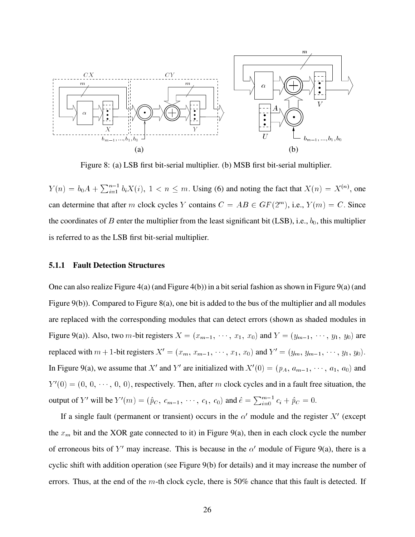

Figure 8: (a) LSB first bit-serial multiplier. (b) MSB first bit-serial multiplier.

 $Y(n) = b_0 A + \sum_{i=1}^{n-1} b_i X(i)$ ,  $1 \lt n \leq m$ . Using (6) and noting the fact that  $X(n) = X^{(n)}$ , one can determine that after m clock cycles Y contains  $C = AB \in GF(2^m)$ , i.e.,  $Y(m) = C$ . Since the coordinates of B enter the multiplier from the least significant bit (LSB), i.e.,  $b_0$ , this multiplier is referred to as the LSB first bit-serial multiplier.

#### **5.1.1 Fault Detection Structures**

One can also realize Figure 4(a) (and Figure 4(b)) in a bit serial fashion as shown in Figure 9(a) (and Figure 9(b)). Compared to Figure 8(a), one bit is added to the bus of the multiplier and all modules are replaced with the corresponding modules that can detect errors (shown as shaded modules in Figure 9(a)). Also, two *m*-bit registers  $X = (x_{m-1}, \dots, x_1, x_0)$  and  $Y = (y_{m-1}, \dots, y_1, y_0)$  are replaced with  $m+1$ -bit registers  $X' = (x_m, x_{m-1}, \dots, x_1, x_0)$  and  $Y' = (y_m, y_{m-1}, \dots, y_1, y_0)$ . In Figure 9(a), we assume that X' and Y' are initialized with  $X'(0) = (p_A, a_{m-1}, \dots, a_1, a_0)$  and  $Y'(0) = (0, 0, \dots, 0, 0)$ , respectively. Then, after m clock cycles and in a fault free situation, the output of Y' will be  $Y'(m) = (\hat{p}_C, c_{m-1}, \dots, c_1, c_0)$  and  $\hat{e} = \sum_{i=0}^{m-1} c_i + \hat{p}_C = 0.$ 

If a single fault (permanent or transient) occurs in the  $\alpha'$  module and the register X' (except the  $x_m$  bit and the XOR gate connected to it) in Figure 9(a), then in each clock cycle the number of erroneous bits of Y' may increase. This is because in the  $\alpha'$  module of Figure 9(a), there is a cyclic shift with addition operation (see Figure 9(b) for details) and it may increase the number of errors. Thus, at the end of the  $m$ -th clock cycle, there is 50% chance that this fault is detected. If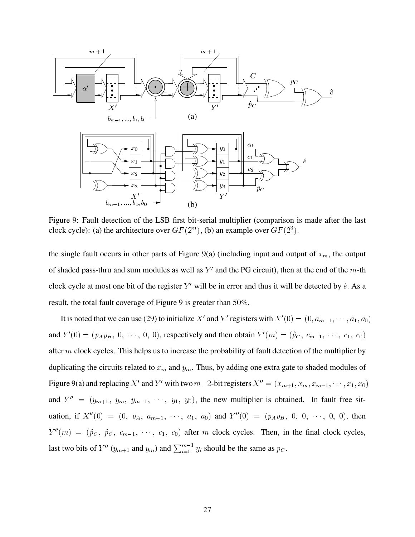

Figure 9: Fault detection of the LSB first bit-serial multiplier (comparison is made after the last clock cycle): (a) the architecture over  $GF(2^m)$ , (b) an example over  $GF(2^3)$ .

the single fault occurs in other parts of Figure 9(a) (including input and output of  $x_m$ , the output of shaded pass-thru and sum modules as well as Y' and the PG circuit), then at the end of the m-th clock cycle at most one bit of the register Y' will be in error and thus it will be detected by  $\hat{e}$ . As a result, the total fault coverage of Figure 9 is greater than 50%.

It is noted that we can use (29) to initialize X' and Y' registers with  $X'(0) = (0, a_{m-1}, \dots, a_1, a_0)$ and  $Y'(0) = (p_A p_B, 0, \dots, 0, 0)$ , respectively and then obtain  $Y'(m) = (\hat{p}_C, c_{m-1}, \dots, c_1, c_0)$ after  $m$  clock cycles. This helps us to increase the probability of fault detection of the multiplier by duplicating the circuits related to  $x_m$  and  $y_m$ . Thus, by adding one extra gate to shaded modules of Figure 9(a) and replacing X' and Y' with two  $m+2$ -bit registers  $X'' = (x_{m+1}, x_m, x_{m-1}, \dots, x_1, x_0)$ and  $Y'' = (y_{m+1}, y_m, y_{m-1}, \dots, y_1, y_0)$ , the new multiplier is obtained. In fault free situation, if  $X''(0) = (0, p_A, a_{m-1}, \dots, a_1, a_0)$  and  $Y''(0) = (p_A p_B, 0, 0, \dots, 0, 0)$ , then  $Y''(m) = (\hat{p}_C, \hat{p}_C, c_{m-1}, \dots, c_1, c_0)$  after m clock cycles. Then, in the final clock cycles, last two bits of  $Y''(y_{m+1}$  and  $y_m)$  and  $\sum_{i=0}^{m-1} y_i$  should be the same as  $p_C$ .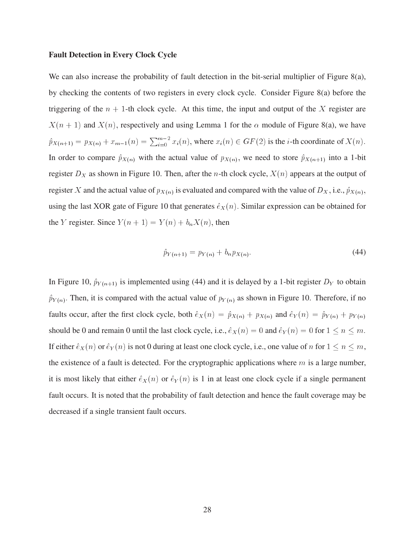#### **Fault Detection in Every Clock Cycle**

We can also increase the probability of fault detection in the bit-serial multiplier of Figure 8(a), by checking the contents of two registers in every clock cycle. Consider Figure 8(a) before the triggering of the  $n + 1$ -th clock cycle. At this time, the input and output of the X register are  $X(n + 1)$  and  $X(n)$ , respectively and using Lemma 1 for the  $\alpha$  module of Figure 8(a), we have  $\hat{p}_{X(n+1)} = p_{X(n)} + x_{m-1}(n) = \sum_{i=0}^{m-2} x_i(n)$ , where  $x_i(n) \in GF(2)$  is the *i*-th coordinate of  $X(n)$ . In order to compare  $\hat{p}_{X(n)}$  with the actual value of  $p_{X(n)}$ , we need to store  $\hat{p}_{X(n+1)}$  into a 1-bit register  $D_X$  as shown in Figure 10. Then, after the *n*-th clock cycle,  $X(n)$  appears at the output of register X and the actual value of  $p_{X(n)}$  is evaluated and compared with the value of  $D_X$ , i.e.,  $\hat{p}_{X(n)}$ , using the last XOR gate of Figure 10 that generates  $\hat{e}_X(n)$ . Similar expression can be obtained for the Y register. Since  $Y(n + 1) = Y(n) + b_n X(n)$ , then

$$
\hat{p}_{Y(n+1)} = p_{Y(n)} + b_n p_{X(n)}.\tag{44}
$$

In Figure 10,  $\hat{p}_{Y(n+1)}$  is implemented using (44) and it is delayed by a 1-bit register  $D_Y$  to obtain  $\hat{p}_{Y(n)}$ . Then, it is compared with the actual value of  $p_{Y(n)}$  as shown in Figure 10. Therefore, if no faults occur, after the first clock cycle, both  $\hat{e}_X(n) = \hat{p}_{X(n)} + p_{X(n)}$  and  $\hat{e}_Y(n) = \hat{p}_{Y(n)} + p_{Y(n)}$ should be 0 and remain 0 until the last clock cycle, i.e.,  $\hat{e}_X (n)=0$  and  $\hat{e}_Y (n)=0$  for  $1 \le n \le m$ . If either  $\hat{e}_X(n)$  or  $\hat{e}_Y(n)$  is not 0 during at least one clock cycle, i.e., one value of n for  $1 \le n \le m$ , the existence of a fault is detected. For the cryptographic applications where  $m$  is a large number, it is most likely that either  $\hat{e}_X(n)$  or  $\hat{e}_Y(n)$  is 1 in at least one clock cycle if a single permanent fault occurs. It is noted that the probability of fault detection and hence the fault coverage may be decreased if a single transient fault occurs.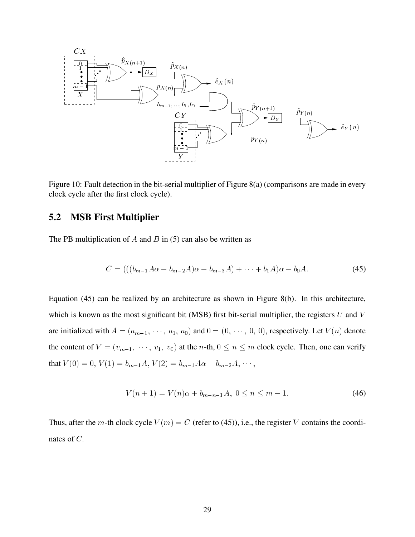

Figure 10: Fault detection in the bit-serial multiplier of Figure 8(a) (comparisons are made in every clock cycle after the first clock cycle).

## **5.2 MSB First Multiplier**

The PB multiplication of A and B in  $(5)$  can also be written as

$$
C = (((b_{m-1}A\alpha + b_{m-2}A)\alpha + b_{m-3}A) + \dots + b_1A)\alpha + b_0A.
$$
 (45)

Equation (45) can be realized by an architecture as shown in Figure 8(b). In this architecture, which is known as the most significant bit (MSB) first bit-serial multiplier, the registers  $U$  and  $V$ are initialized with  $A = (a_{m-1}, \dots, a_1, a_0)$  and  $0 = (0, \dots, 0, 0)$ , respectively. Let  $V(n)$  denote the content of  $V = (v_{m-1}, \dots, v_1, v_0)$  at the *n*-th,  $0 \le n \le m$  clock cycle. Then, one can verify that  $V(0) = 0$ ,  $V(1) = b_{m-1}A$ ,  $V(2) = b_{m-1}A\alpha + b_{m-2}A$ ,  $\cdots$ ,

$$
V(n+1) = V(n)\alpha + b_{m-n-1}A, \ 0 \le n \le m-1. \tag{46}
$$

Thus, after the m-th clock cycle  $V(m) = C$  (refer to (45)), i.e., the register V contains the coordinates of C: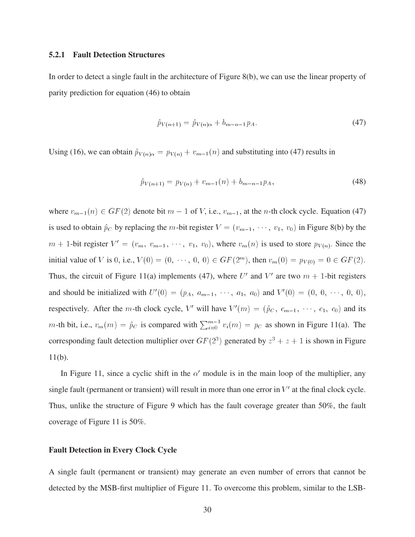#### **5.2.1 Fault Detection Structures**

In order to detect a single fault in the architecture of Figure 8(b), we can use the linear property of parity prediction for equation (46) to obtain

$$
\hat{p}_{V(n+1)} = \hat{p}_{V(n)\alpha} + b_{m-n-1}p_A.
$$
\n(47)

Using (16), we can obtain  $\hat{p}_{V(n)\alpha} = p_{V(n)} + v_{m-1}(n)$  and substituting into (47) results in

$$
\hat{p}_{V(n+1)} = p_{V(n)} + v_{m-1}(n) + b_{m-n-1}p_A, \tag{48}
$$

where  $v_{m-1}(n) \in GF(2)$  denote bit  $m - 1$  of V, i.e.,  $v_{m-1}$ , at the n-th clock cycle. Equation (47) is used to obtain  $\hat{p}_C$  by replacing the m-bit register  $V = (v_{m-1}, \dots, v_1, v_0)$  in Figure 8(b) by the  $m + 1$ -bit register  $V' = (v_m, v_{m-1}, \dots, v_1, v_0)$ , where  $v_m(n)$  is used to store  $p_{V(n)}$ . Since the initial value of V is 0, i.e.,  $V(0) = (0, \dots, 0, 0) \in GF(2^m)$ , then  $v_m(0) = p_{V(0)} = 0 \in GF(2)$ . Thus, the circuit of Figure 11(a) implements (47), where U' and V' are two  $m + 1$ -bit registers and should be initialized with  $U'(0) = (p_A, a_{m-1}, \dots, a_1, a_0)$  and  $V'(0) = (0, 0, \dots, 0, 0),$ respectively. After the m-th clock cycle, V' will have  $V'(m) = (\hat{p}_C, c_{m-1}, \dots, c_1, c_0)$  and its m-th bit, i.e.,  $v_m(m) = \hat{p}_C$  is compared with  $\sum_{i=0}^{m-1} v_i(m) = p_C$  as shown in Figure 11(a). The corresponding fault detection multiplier over  $GF(2^3)$  generated by  $z^3 + z + 1$  is shown in Figure 11(b).

In Figure 11, since a cyclic shift in the  $\alpha'$  module is in the main loop of the multiplier, any single fault (permanent or transient) will result in more than one error in  $V'$  at the final clock cycle. Thus, unlike the structure of Figure 9 which has the fault coverage greater than 50%, the fault coverage of Figure 11 is 50%.

#### **Fault Detection in Every Clock Cycle**

A single fault (permanent or transient) may generate an even number of errors that cannot be detected by the MSB-first multiplier of Figure 11. To overcome this problem, similar to the LSB-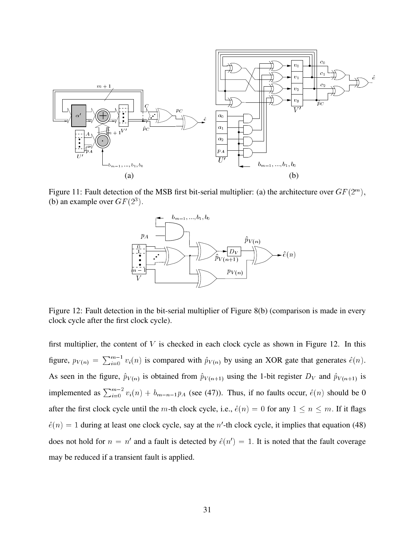

Figure 11: Fault detection of the MSB first bit-serial multiplier: (a) the architecture over  $GF(2^m)$ , (b) an example over  $GF(2^3)$ .



Figure 12: Fault detection in the bit-serial multiplier of Figure 8(b) (comparison is made in every clock cycle after the first clock cycle).

first multiplier, the content of  $V$  is checked in each clock cycle as shown in Figure 12. In this figure,  $p_{V(n)} = \sum_{i=0}^{m-1} v_i(n)$  is compared with  $\hat{p}_{V(n)}$  by using an XOR gate that generates  $\hat{e}(n)$ . As seen in the figure,  $\hat{p}_{V(n)}$  is obtained from  $\hat{p}_{V(n+1)}$  using the 1-bit register  $D_V$  and  $\hat{p}_{V(n+1)}$  is implemented as  $\sum_{i=0}^{m-2} v_i(n) + b_{m-n-1}p_A$  (see (47)). Thus, if no faults occur,  $\hat{e}(n)$  should be 0 after the first clock cycle until the m-th clock cycle, i.e.,  $\hat{e}(n)=0$  for any  $1 \le n \le m$ . If it flags  $\hat{e}(n)=1$  during at least one clock cycle, say at the n'-th clock cycle, it implies that equation (48) does not hold for  $n = n'$  and a fault is detected by  $\hat{e}(n')=1$ . It is noted that the fault coverage may be reduced if a transient fault is applied.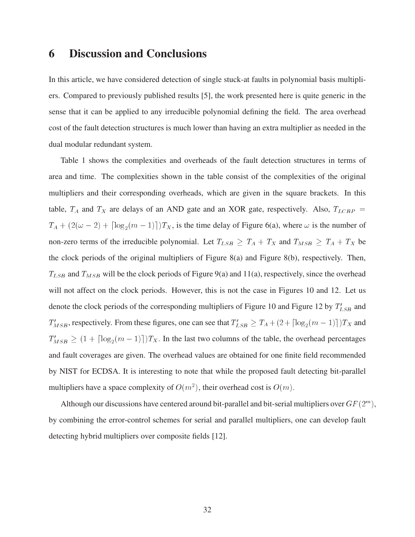# **6 Discussion and Conclusions**

In this article, we have considered detection of single stuck-at faults in polynomial basis multipliers. Compared to previously published results [5], the work presented here is quite generic in the sense that it can be applied to any irreducible polynomial defining the field. The area overhead cost of the fault detection structures is much lower than having an extra multiplier as needed in the dual modular redundant system.

Table 1 shows the complexities and overheads of the fault detection structures in terms of area and time. The complexities shown in the table consist of the complexities of the original multipliers and their corresponding overheads, which are given in the square brackets. In this table,  $T_A$  and  $T_X$  are delays of an AND gate and an XOR gate, respectively. Also,  $T_{LCBP}$  =  $T_A + (2(\omega - 2) + \lceil \log_2(m - 1) \rceil)T_X$ , is the time delay of Figure 6(a), where  $\omega$  is the number of non-zero terms of the irreducible polynomial. Let  $T_{LSB} \geq T_A + T_X$  and  $T_{MSB} \geq T_A + T_X$  be the clock periods of the original multipliers of Figure 8(a) and Figure 8(b), respectively. Then,  $T_{LSB}$  and  $T_{MSB}$  will be the clock periods of Figure 9(a) and 11(a), respectively, since the overhead will not affect on the clock periods. However, this is not the case in Figures 10 and 12. Let us denote the clock periods of the corresponding multipliers of Figure 10 and Figure 12 by  $T'_{LSB}$  and  $T'_{MSB}$ , respectively. From these figures, one can see that  $T'_{LSB} \ge T_A + (2 + \lceil \log_2(m - 1) \rceil)T_X$  and  $T'_{MSB} \ge (1 + \lceil \log_2(m-1) \rceil)T_X$ . In the last two columns of the table, the overhead percentages and fault coverages are given. The overhead values are obtained for one finite field recommended by NIST for ECDSA. It is interesting to note that while the proposed fault detecting bit-parallel multipliers have a space complexity of  $O(m^2)$ , their overhead cost is  $O(m)$ .

Although our discussions have centered around bit-parallel and bit-serial multipliers over  $GF(2^m)$ , by combining the error-control schemes for serial and parallel multipliers, one can develop fault detecting hybrid multipliers over composite fields [12].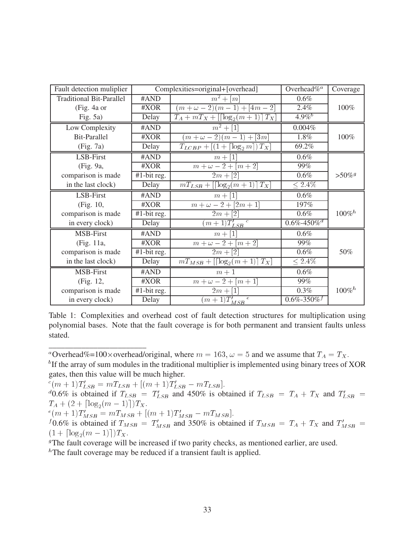| Fault detection muliplier       | Complexities=original+[overhead] |                                                                                     | Overhead $\%^a$              | Coverage              |
|---------------------------------|----------------------------------|-------------------------------------------------------------------------------------|------------------------------|-----------------------|
| <b>Traditional Bit-Parallel</b> | #AND                             | $\overline{m}^2 + [m]$                                                              | 0.6%                         |                       |
| (Fig. 4a or                     | #XOR                             | $(m + \omega - 2)(m - 1) + [4m - 2]$                                                | 2.4%                         | 100%                  |
| Fig. $5a)$                      | Delay                            | $T_A + mT_X + [\lfloor \log_2(m+1) \rfloor T_X]$                                    | $4.9\%$ <sup>b</sup>         |                       |
| Low Complexity                  | #AND                             | $m^2 + [1]$                                                                         | 0.004%                       |                       |
| <b>Bit-Parallel</b>             | #XOR                             | $(m + \omega - 2)(m - 1) + [3m]$                                                    | 1.8%                         | 100%                  |
| (Fig. 7a)                       | Delay                            | $T_{LCBP} + \left[ \left(1 + \left\lceil \log_2 m \right\rceil \right) T_X \right]$ | 69.2%                        |                       |
| LSB-First                       | #AND                             | $\lceil 1 \rceil$<br>$m +$                                                          | $0.6\%$                      |                       |
| (Fig. 9a,                       | #XOR                             | $\overline{m+\omega}-2+[m+2]$                                                       | 99%                          |                       |
| comparison is made              | $\overline{\text{#1-bit}}$ reg.  | $2m + [2]$                                                                          | $0.6\%$                      | $> 50\%$ <sup>g</sup> |
| in the last clock)              | Delay                            | $T_X$<br>$mT_{LSB} + [\lceil \log_2(m+1) \rceil]$                                   | $\leq 2.4\%$                 |                       |
| LSB-First                       | #AND                             | $\lceil 1 \rceil$<br>$m +$                                                          | $0.6\%$                      |                       |
| (Fig. 10,                       | #XOR                             | $m + \omega - 2 + [2m + 1]$                                                         | 197%                         |                       |
| comparison is made              | $\overline{\text{#1-bit}}$ reg.  | $2m + [2]$                                                                          | $0.6\%$                      | $100\%$ <sup>h</sup>  |
| in every clock)                 | Delay                            | $(m+\overline{1)T'_{LSB}}^c$                                                        | $0.6\% - 450\%$ <sup>d</sup> |                       |
| MSB-First                       | #AND                             | $\lceil 1 \rceil$<br>$m +$                                                          | 0.6%                         |                       |
| (Fig. 11a,                      | #XOR                             | $m + \omega - 2 + [m + 2]$                                                          | 99%                          |                       |
| comparison is made              | #1-bit reg.                      | $2m + [2]$                                                                          | $0.6\%$                      | 50%                   |
| in the last clock)              | Delay                            | $T_X$<br>$mT_{MSB} + \left[\lceil \log_2(m+1) \rceil\right]$                        | $< 2.4\%$                    |                       |
| MSB-First                       | #AND                             | $m+1$                                                                               | 0.6%                         |                       |
| (Fig. 12,                       | #XOR                             | $m + \omega - 2 + [m + 1]$                                                          | 99%                          |                       |
| comparison is made              | $\overline{41}$ -bit reg.        | $2m + [1]$                                                                          | $0.3\%$                      | $100\%$ <sup>h</sup>  |
| in every clock)                 | Delay                            | $\epsilon$<br>$\sqrt{m+1}$ $T'_{MSB}$                                               | $0.6\% - 350\%$              |                       |

Table 1: Complexities and overhead cost of fault detection structures for multiplication using polynomial bases. Note that the fault coverage is for both permanent and transient faults unless stated.

"Overhead%=100×overhead/original, where  $m = 163$ ,  $\omega = 5$  and we assume that  $T_A = T_X$ .

 ${}^{b}$ If the array of sum modules in the traditional multiplier is implemented using binary trees of XOR gates, then this value will be much higher.

 $c(m+1)L_{LSB} = mLL_{SB} + (m+1)L_{LSB}$ 

\_\_\_\_\_\_\_\_\_\_\_\_\_\_\_\_\_\_\_\_\_\_\_\_

 $d_{0.6\%}$  is obtained if  $T_{LSB} = T'_{LSB}$  and 450% is obtained if  $T_{LSB} = T_A + T_X$  and  $T'_{LSB} =$ 

 $T_A + (2 + \log_2(m-1))/T_X$ :<br>  $e(m+1)T'_{MSB} = mT_{MSB} + [(m+1)T'_{MSB} - mT_{MSB}]$ .<br>  $f(0.6\%$  is obtained if  $T_{MSB} = T'_{MSB}$  and 350% is obtained if  $T_{MSB} = T_A + T_X$  and  $T'_{MSB} =$  $1 + 1059$ 

The fault coverage will be increased if two parity checks, as mentioned earlier, are used.

 ${}^h$ The fault coverage may be reduced if a transient fault is applied.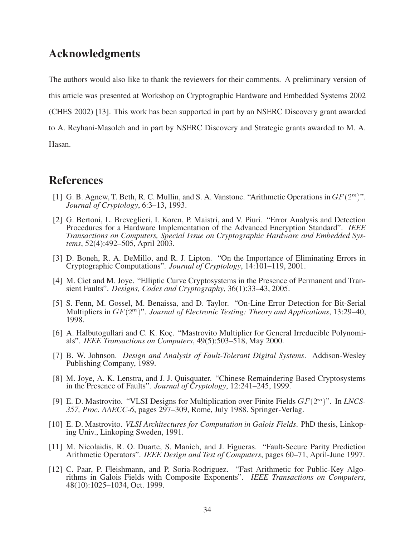# **Acknowledgments**

The authors would also like to thank the reviewers for their comments. A preliminary version of this article was presented at Workshop on Cryptographic Hardware and Embedded Systems 2002 (CHES 2002) [13]. This work has been supported in part by an NSERC Discovery grant awarded to A. Reyhani-Masoleh and in part by NSERC Discovery and Strategic grants awarded to M. A. Hasan.

**References**

- [1] G. B. Agnew, T. Beth, R. C. Mullin, and S. A. Vanstone. "Arithmetic Operations in  $GF(2^m)$ ". *Journal of Cryptology*, 6:3–13, 1993.
- [2] G. Bertoni, L. Breveglieri, I. Koren, P. Maistri, and V. Piuri. "Error Analysis and Detection Procedures for a Hardware Implementation of the Advanced Encryption Standard". *IEEE Transactions on Computers, Special Issue on Cryptographic Hardware and Embedded Systems*, 52(4):492–505, April 2003.
- [3] D. Boneh, R. A. DeMillo, and R. J. Lipton. "On the Importance of Eliminating Errors in Cryptographic Computations". *Journal of Cryptology*, 14:101–119, 2001.
- [4] M. Ciet and M. Joye. "Elliptic Curve Cryptosystems in the Presence of Permanent and Transient Faults". *Designs, Codes and Cryptography*, 36(1):33–43, 2005.
- [5] S. Fenn, M. Gossel, M. Benaissa, and D. Taylor. "On-Line Error Detection for Bit-Serial Multipliers in GF (2<sup>m</sup> )". *Journal of Electronic Testing: Theory and Applications*, 13:29–40, 1998.
- [6] A. Halbutogullari and C. K. Koç. "Mastrovito Multiplier for General Irreducible Polynomials". *IEEE Transactions on Computers*, 49(5):503–518, May 2000.
- [7] B. W. Johnson. *Design and Analysis of Fault-Tolerant Digital Systems*. Addison-Wesley Publishing Company, 1989.
- [8] M. Joye, A. K. Lenstra, and J. J. Quisquater. "Chinese Remaindering Based Cryptosystems in the Presence of Faults". *Journal of Cryptology*, 12:241–245, 1999.
- [9] E. D. Mastrovito. "VLSI Designs for Multiplication over Finite Fields GF (2m )". In *LNCS-357, Proc. AAECC-6*, pages 297–309, Rome, July 1988. Springer-Verlag.
- [10] E. D. Mastrovito. *VLSI Architectures for Computation in Galois Fields*. PhD thesis, Linkoping Univ., Linkoping Sweden, 1991.
- [11] M. Nicolaidis, R. O. Duarte, S. Manich, and J. Figueras. "Fault-Secure Parity Prediction Arithmetic Operators". *IEEE Design and Test of Computers*, pages 60–71, April-June 1997.
- [12] C. Paar, P. Fleishmann, and P. Soria-Rodriguez. "Fast Arithmetic for Public-Key Algorithms in Galois Fields with Composite Exponents". *IEEE Transactions on Computers*, 48(10):1025–1034, Oct. 1999.